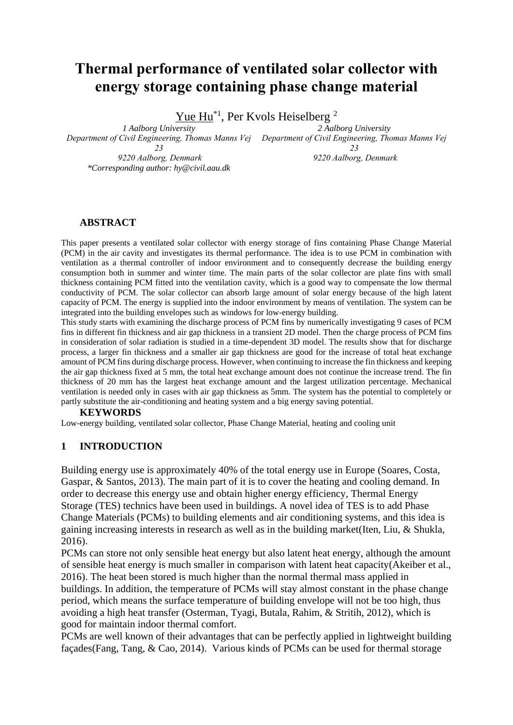# **Thermal performance of ventilated solar collector with energy storage containing phase change material**

Yue Hu<sup>\*1</sup>, Per Kvols Heiselberg<sup>2</sup>

*1 Aalborg University Department of Civil Engineering, Thomas Manns Vej Department of Civil Engineering, Thomas Manns Vej 23 9220 Aalborg, Denmark \*Corresponding author: hy@civil.aau.dk 2 Aalborg University 23 9220 Aalborg, Denmark*

#### **ABSTRACT**

This paper presents a ventilated solar collector with energy storage of fins containing Phase Change Material (PCM) in the air cavity and investigates its thermal performance. The idea is to use PCM in combination with ventilation as a thermal controller of indoor environment and to consequently decrease the building energy consumption both in summer and winter time. The main parts of the solar collector are plate fins with small thickness containing PCM fitted into the ventilation cavity, which is a good way to compensate the low thermal conductivity of PCM. The solar collector can absorb large amount of solar energy because of the high latent capacity of PCM. The energy is supplied into the indoor environment by means of ventilation. The system can be integrated into the building envelopes such as windows for low-energy building.

This study starts with examining the discharge process of PCM fins by numerically investigating 9 cases of PCM fins in different fin thickness and air gap thickness in a transient 2D model. Then the charge process of PCM fins in consideration of solar radiation is studied in a time-dependent 3D model. The results show that for discharge process, a larger fin thickness and a smaller air gap thickness are good for the increase of total heat exchange amount of PCM fins during discharge process. However, when continuing to increase the fin thickness and keeping the air gap thickness fixed at 5 mm, the total heat exchange amount does not continue the increase trend. The fin thickness of 20 mm has the largest heat exchange amount and the largest utilization percentage. Mechanical ventilation is needed only in cases with air gap thickness as 5mm. The system has the potential to completely or partly substitute the air-conditioning and heating system and a big energy saving potential.

#### **KEYWORDS**

Low-energy building, ventilated solar collector, Phase Change Material, heating and cooling unit

#### **1 INTRODUCTION**

Building energy use is approximately 40% of the total energy use in Europe (Soares, Costa, Gaspar, & Santos, 2013). The main part of it is to cover the heating and cooling demand. In order to decrease this energy use and obtain higher energy efficiency, Thermal Energy Storage (TES) technics have been used in buildings. A novel idea of TES is to add Phase Change Materials (PCMs) to building elements and air conditioning systems, and this idea is gaining increasing interests in research as well as in the building market(Iten, Liu, & Shukla, 2016).

PCMs can store not only sensible heat energy but also latent heat energy, although the amount of sensible heat energy is much smaller in comparison with latent heat capacity(Akeiber et al., 2016). The heat been stored is much higher than the normal thermal mass applied in buildings. In addition, the temperature of PCMs will stay almost constant in the phase change period, which means the surface temperature of building envelope will not be too high, thus avoiding a high heat transfer (Osterman, Tyagi, Butala, Rahim, & Stritih, 2012), which is good for maintain indoor thermal comfort.

PCMs are well known of their advantages that can be perfectly applied in lightweight building façades(Fang, Tang, & Cao, 2014). Various kinds of PCMs can be used for thermal storage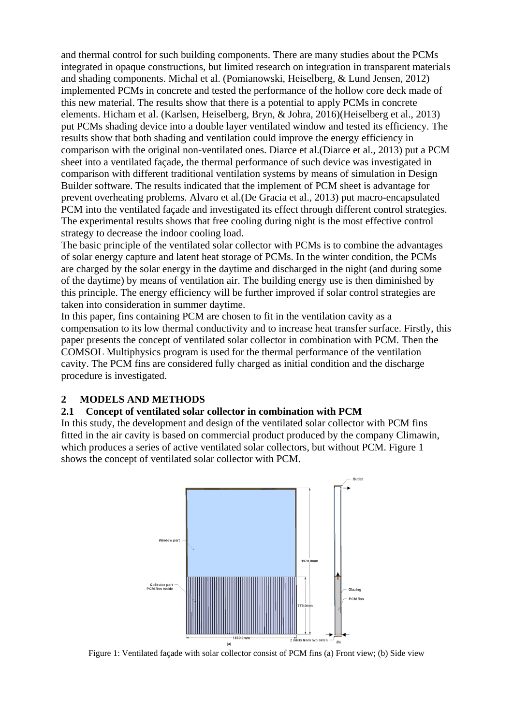and thermal control for such building components. There are many studies about the PCMs integrated in opaque constructions, but limited research on integration in transparent materials and shading components. Michal et al. (Pomianowski, Heiselberg, & Lund Jensen, 2012) implemented PCMs in concrete and tested the performance of the hollow core deck made of this new material. The results show that there is a potential to apply PCMs in concrete elements. Hicham et al. (Karlsen, Heiselberg, Bryn, & Johra, 2016)(Heiselberg et al., 2013) put PCMs shading device into a double layer ventilated window and tested its efficiency. The results show that both shading and ventilation could improve the energy efficiency in comparison with the original non-ventilated ones. Diarce et al.(Diarce et al., 2013) put a PCM sheet into a ventilated façade, the thermal performance of such device was investigated in comparison with different traditional ventilation systems by means of simulation in Design Builder software. The results indicated that the implement of PCM sheet is advantage for prevent overheating problems. [Alvaro](http://www.sciencedirect.com/science/article/pii/S0378778813003812) et al.(De Gracia et al., 2013) put macro-encapsulated PCM into the ventilated façade and investigated its effect through different control strategies. The experimental results shows that free cooling during night is the most effective control strategy to decrease the indoor cooling load.

The basic principle of the ventilated solar collector with PCMs is to combine the advantages of solar energy capture and latent heat storage of PCMs. In the winter condition, the PCMs are charged by the solar energy in the daytime and discharged in the night (and during some of the daytime) by means of ventilation air. The building energy use is then diminished by this principle. The energy efficiency will be further improved if solar control strategies are taken into consideration in summer daytime.

In this paper, fins containing PCM are chosen to fit in the ventilation cavity as a compensation to its low thermal conductivity and to increase heat transfer surface. Firstly, this paper presents the concept of ventilated solar collector in combination with PCM. Then the COMSOL Multiphysics program is used for the thermal performance of the ventilation cavity. The PCM fins are considered fully charged as initial condition and the discharge procedure is investigated.

### **2 MODELS AND METHODS**

#### **2.1 Concept of ventilated solar collector in combination with PCM**

In this study, the development and design of the ventilated solar collector with PCM fins fitted in the air cavity is based on commercial product produced by the company Climawin, which produces a series of active ventilated solar collectors, but without PCM. Figure 1 shows the concept of ventilated solar collector with PCM.



Figure 1: Ventilated façade with solar collector consist of PCM fins (a) Front view; (b) Side view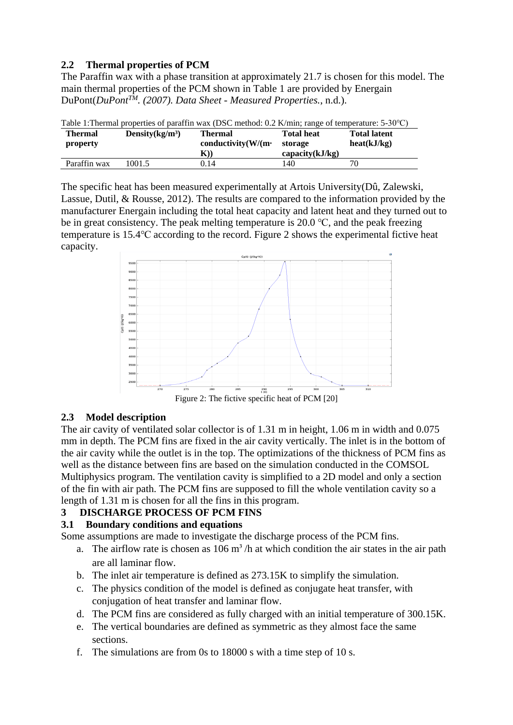### **2.2 Thermal properties of PCM**

The Paraffin wax with a phase transition at approximately 21.7 is chosen for this model. The main thermal properties of the PCM shown in Table 1 are provided by Energain DuPont(*DuPontTM. (2007). Data Sheet - Measured Properties.*, n.d.).

| Table 1: Thermal properties of paraffin wax (DSC method: 0.2 K/min; range of temperature: 5-30 °C) |                    |                            |                 |                     |  |  |  |
|----------------------------------------------------------------------------------------------------|--------------------|----------------------------|-----------------|---------------------|--|--|--|
| <b>Thermal</b>                                                                                     | Density $(kg/m^3)$ | <b>Thermal</b>             | Total heat      | <b>Total latent</b> |  |  |  |
| property                                                                                           |                    | conductivity $(W/(m \cdot$ | storage         | heat(kJ/kg)         |  |  |  |
|                                                                                                    |                    | $\mathbf{K}$ )             | capacity(kJ/kg) |                     |  |  |  |
| Paraffin wax                                                                                       | 1001.5             | 0.14                       | 40              | 70                  |  |  |  |

Table 1:Thermal properties of paraffin wax (DSC method: 0.2 K/min; range of temperature: 5-30℃)

The specific heat has been measured experimentally at Artois University(Dû, Zalewski, Lassue, Dutil, & Rousse, 2012). The results are compared to the information provided by the manufacturer Energain including the total heat capacity and latent heat and they turned out to be in great consistency. The peak melting temperature is 20.0 ℃, and the peak freezing temperature is 15.4℃ according to the record. Figure 2 shows the experimental fictive heat capacity.



Figure 2: The fictive specific heat of PCM [20]

### **2.3 Model description**

The air cavity of ventilated solar collector is of 1.31 m in height, 1.06 m in width and 0.075 mm in depth. The PCM fins are fixed in the air cavity vertically. The inlet is in the bottom of the air cavity while the outlet is in the top. The optimizations of the thickness of PCM fins as well as the distance between fins are based on the simulation conducted in the COMSOL Multiphysics program. The ventilation cavity is simplified to a 2D model and only a section of the fin with air path. The PCM fins are supposed to fill the whole ventilation cavity so a length of 1.31 m is chosen for all the fins in this program.

### **3 DISCHARGE PROCESS OF PCM FINS**

### **3.1 Boundary conditions and equations**

Some assumptions are made to investigate the discharge process of the PCM fins.

- a. The airflow rate is chosen as  $106 \text{ m}^3/h$  at which condition the air states in the air path are all laminar flow.
- b. The inlet air temperature is defined as 273.15K to simplify the simulation.
- c. The physics condition of the model is defined as conjugate heat transfer, with conjugation of heat transfer and laminar flow.
- d. The PCM fins are considered as fully charged with an initial temperature of 300.15K.
- e. The vertical boundaries are defined as symmetric as they almost face the same sections.
- f. The simulations are from 0s to 18000 s with a time step of 10 s.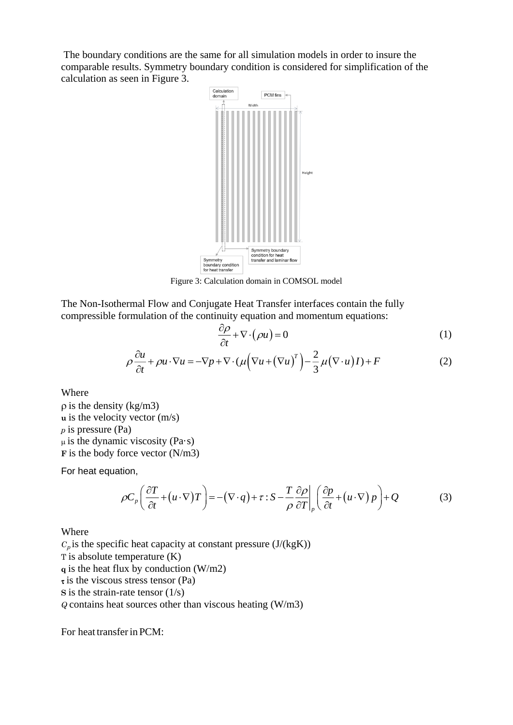The boundary conditions are the same for all simulation models in order to insure the comparable results. Symmetry boundary condition is considered for simplification of the calculation as seen in Figure 3.



Figure 3: Calculation domain in COMSOL model

The Non-Isothermal Flow and Conjugate Heat Transfer interfaces contain the fully compressible formulation of the continuity equation and momentum equations:

$$
\frac{\partial \rho}{\partial t} + \nabla \cdot (\rho u) = 0 \tag{1}
$$

$$
\rho \frac{\partial u}{\partial t} + \rho u \cdot \nabla u = -\nabla p + \nabla \cdot (\mu \Big( \nabla u + (\nabla u)^T \Big) - \frac{2}{3} \mu (\nabla \cdot u) I) + F \tag{2}
$$

Where

 $\rho$  is the density (kg/m3) **u** is the velocity vector (m/s) *p* is pressure (Pa)  $\mu$  is the dynamic viscosity (Pa·s) **F** is the body force vector (N/m3)

For heat equation,

$$
\rho C_p \left( \frac{\partial T}{\partial t} + (u \cdot \nabla) T \right) = -(\nabla \cdot q) + \tau : S - \frac{T}{\rho} \frac{\partial \rho}{\partial T} \bigg|_p \left( \frac{\partial p}{\partial t} + (u \cdot \nabla) p \right) + Q \tag{3}
$$

Where

 $C_p$  is the specific heat capacity at constant pressure ( $J/(kgK)$ ) T is absolute temperature (K) **q** is the heat flux by conduction (W/m2)  $\tau$  is the viscous stress tensor (Pa) **S** is the strain-rate tensor  $(1/s)$ *Q* contains heat sources other than viscous heating (W/m3)

For heat transferin PCM: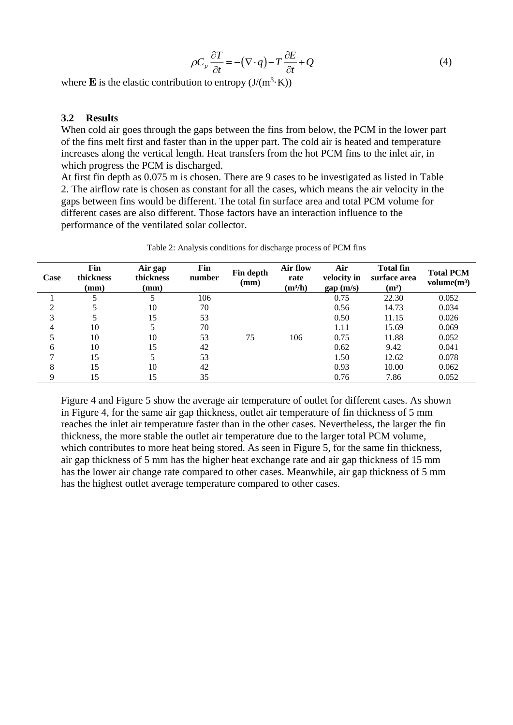$$
\rho C_p \frac{\partial T}{\partial t} = -(\nabla \cdot q) - T \frac{\partial E}{\partial t} + Q \tag{4}
$$

where  $\bf{E}$  is the elastic contribution to entropy  $(J/(m^3 \cdot K))$ 

#### **3.2 Results**

When cold air goes through the gaps between the fins from below, the PCM in the lower part of the fins melt first and faster than in the upper part. The cold air is heated and temperature increases along the vertical length. Heat transfers from the hot PCM fins to the inlet air, in which progress the PCM is discharged.

At first fin depth as 0.075 m is chosen. There are 9 cases to be investigated as listed in Table 2. The airflow rate is chosen as constant for all the cases, which means the air velocity in the gaps between fins would be different. The total fin surface area and total PCM volume for different cases are also different. Those factors have an interaction influence to the performance of the ventilated solar collector.

| Case | Fin<br>thickness<br>(mm) | Air gap<br>thickness<br>(mm) | Fin<br>number | Fin depth<br>(mm) | Air flow<br>rate<br>$(m^3/h)$ | Air<br>velocity in<br>gap(m/s) | <b>Total fin</b><br>surface area<br>(m <sup>2</sup> ) | <b>Total PCM</b><br>volume(m <sup>3</sup> ) |
|------|--------------------------|------------------------------|---------------|-------------------|-------------------------------|--------------------------------|-------------------------------------------------------|---------------------------------------------|
|      |                          |                              | 106           |                   |                               | 0.75                           | 22.30                                                 | 0.052                                       |
| ◠    |                          | 10                           | 70            |                   |                               | 0.56                           | 14.73                                                 | 0.034                                       |
| 3    |                          | 15                           | 53            |                   |                               | 0.50                           | 11.15                                                 | 0.026                                       |
| 4    | 10                       |                              | 70            |                   |                               | 1.11                           | 15.69                                                 | 0.069                                       |
|      | 10                       | 10                           | 53            | 75                | 106                           | 0.75                           | 11.88                                                 | 0.052                                       |
| 6    | 10                       | 15                           | 42            |                   |                               | 0.62                           | 9.42                                                  | 0.041                                       |
| ⇁    | 15                       |                              | 53            |                   |                               | 1.50                           | 12.62                                                 | 0.078                                       |
| 8    | 15                       | 10                           | 42            |                   |                               | 0.93                           | 10.00                                                 | 0.062                                       |
| Q    | 15                       | 15                           | 35            |                   |                               | 0.76                           | 7.86                                                  | 0.052                                       |

Table 2: Analysis conditions for discharge process of PCM fins

Figure 4 and Figure 5 show the average air temperature of outlet for different cases. As shown in Figure 4, for the same air gap thickness, outlet air temperature of fin thickness of 5 mm reaches the inlet air temperature faster than in the other cases. Nevertheless, the larger the fin thickness, the more stable the outlet air temperature due to the larger total PCM volume, which contributes to more heat being stored. As seen in Figure 5, for the same fin thickness, air gap thickness of 5 mm has the higher heat exchange rate and air gap thickness of 15 mm has the lower air change rate compared to other cases. Meanwhile, air gap thickness of 5 mm has the highest outlet average temperature compared to other cases.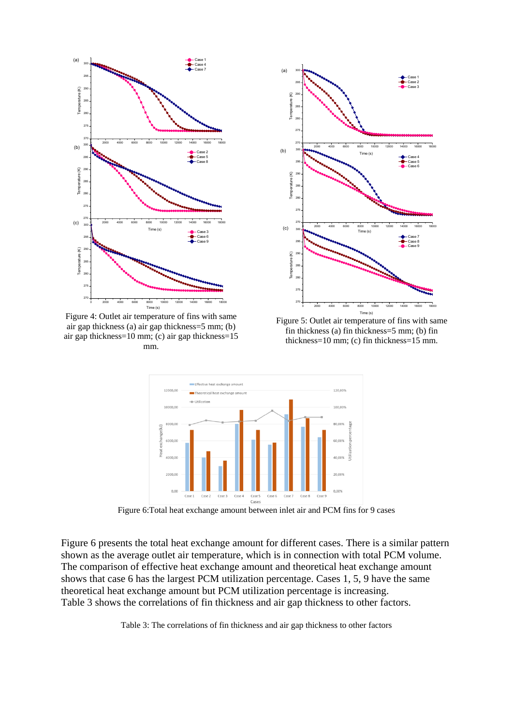

Figure 4: Outlet air temperature of fins with same air gap thickness (a) air gap thickness=5 mm; (b) air gap thickness=10 mm; (c) air gap thickness=15 mm.



Figure 5: Outlet air temperature of fins with same fin thickness (a) fin thickness=5 mm; (b) fin thickness=10 mm; (c) fin thickness=15 mm.



Figure 6:Total heat exchange amount between inlet air and PCM fins for 9 cases

Figure 6 presents the total heat exchange amount for different cases. There is a similar pattern shown as the average outlet air temperature, which is in connection with total PCM volume. The comparison of effective heat exchange amount and theoretical heat exchange amount shows that case 6 has the largest PCM utilization percentage. Cases 1, 5, 9 have the same theoretical heat exchange amount but PCM utilization percentage is increasing. Table 3 shows the correlations of fin thickness and air gap thickness to other factors.

Table 3: The correlations of fin thickness and air gap thickness to other factors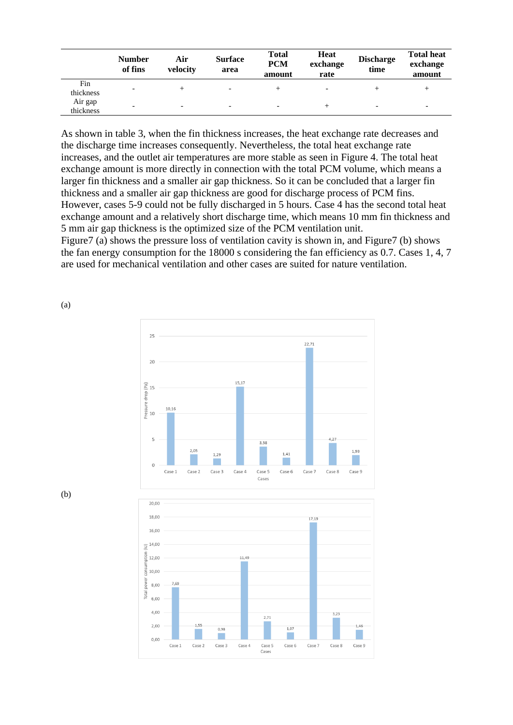|                      | <b>Number</b><br>of fins | Air<br>velocity          | <b>Surface</b><br>area   | <b>Total</b><br><b>PCM</b><br>amount | <b>Heat</b><br>exchange<br>rate | <b>Discharge</b><br>time | <b>Total heat</b><br>exchange<br>amount |
|----------------------|--------------------------|--------------------------|--------------------------|--------------------------------------|---------------------------------|--------------------------|-----------------------------------------|
| Fin<br>thickness     |                          |                          | $\overline{\phantom{0}}$ |                                      | $\overline{\phantom{0}}$        |                          | +                                       |
| Air gap<br>thickness | -                        | $\overline{\phantom{0}}$ | $\overline{\phantom{0}}$ | $\overline{\phantom{0}}$             |                                 | $\overline{\phantom{0}}$ | $\overline{\phantom{0}}$                |

As shown in table 3, when the fin thickness increases, the heat exchange rate decreases and the discharge time increases consequently. Nevertheless, the total heat exchange rate increases, and the outlet air temperatures are more stable as seen in Figure 4. The total heat exchange amount is more directly in connection with the total PCM volume, which means a larger fin thickness and a smaller air gap thickness. So it can be concluded that a larger fin thickness and a smaller air gap thickness are good for discharge process of PCM fins. However, cases 5-9 could not be fully discharged in 5 hours. Case 4 has the second total heat exchange amount and a relatively short discharge time, which means 10 mm fin thickness and 5 mm air gap thickness is the optimized size of the PCM ventilation unit.

Figure7 (a) shows the pressure loss of ventilation cavity is shown in, and Figure7 (b) shows the fan energy consumption for the 18000 s considering the fan efficiency as 0.7. Cases 1, 4, 7 are used for mechanical ventilation and other cases are suited for nature ventilation.



 $1,0$ 

у.

Case 6

Case 7

Case 8

46

Case 9



 $2,00$ 

 $0.00$ 

Case 1

 $1.55$ 

Case 2

 $0.98$ 

T.

Case 3

Case

Case 5

Cases

(a)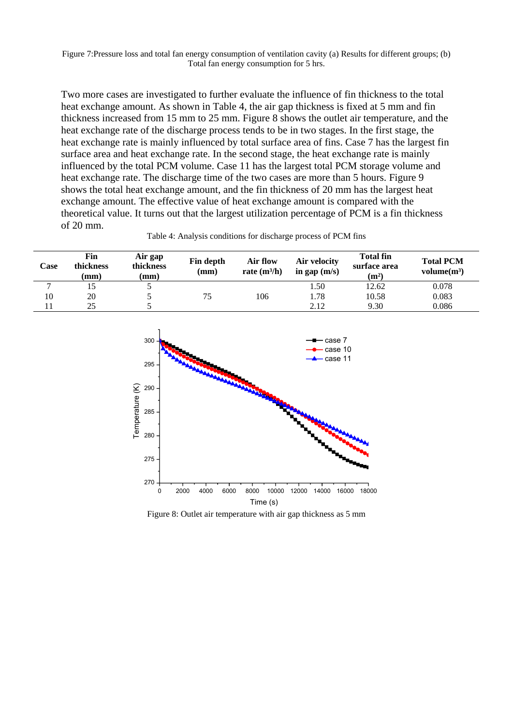Figure 7:Pressure loss and total fan energy consumption of ventilation cavity (a) Results for different groups; (b) Total fan energy consumption for 5 hrs.

Two more cases are investigated to further evaluate the influence of fin thickness to the total heat exchange amount. As shown in Table 4, the air gap thickness is fixed at 5 mm and fin thickness increased from 15 mm to 25 mm. Figure 8 shows the outlet air temperature, and the heat exchange rate of the discharge process tends to be in two stages. In the first stage, the heat exchange rate is mainly influenced by total surface area of fins. Case 7 has the largest fin surface area and heat exchange rate. In the second stage, the heat exchange rate is mainly influenced by the total PCM volume. Case 11 has the largest total PCM storage volume and heat exchange rate. The discharge time of the two cases are more than 5 hours. Figure 9 shows the total heat exchange amount, and the fin thickness of 20 mm has the largest heat exchange amount. The effective value of heat exchange amount is compared with the theoretical value. It turns out that the largest utilization percentage of PCM is a fin thickness of 20 mm.

| Case           | Fin<br>thickness<br>$(\mathbf{mm})$ | Air gap<br>thickness<br>$(\mathbf{mm})$ | Fin depth<br>(mm) | Air flow<br>rate $(m^3/h)$ | Air velocity<br>in gap $(m/s)$ | <b>Total fin</b><br>surface area<br>(m <sup>2</sup> ) | <b>Total PCM</b><br>volume(m <sup>3</sup> ) |
|----------------|-------------------------------------|-----------------------------------------|-------------------|----------------------------|--------------------------------|-------------------------------------------------------|---------------------------------------------|
| $\overline{ }$ |                                     |                                         |                   |                            | . .50                          | 12.62                                                 | 0.078                                       |
| 10             | 20                                  |                                         | 75                | 106                        | 1.78                           | 10.58                                                 | 0.083                                       |
|                | 25                                  |                                         |                   |                            | 2.12                           | 9.30                                                  | 0.086                                       |



Figure 8: Outlet air temperature with air gap thickness as 5 mm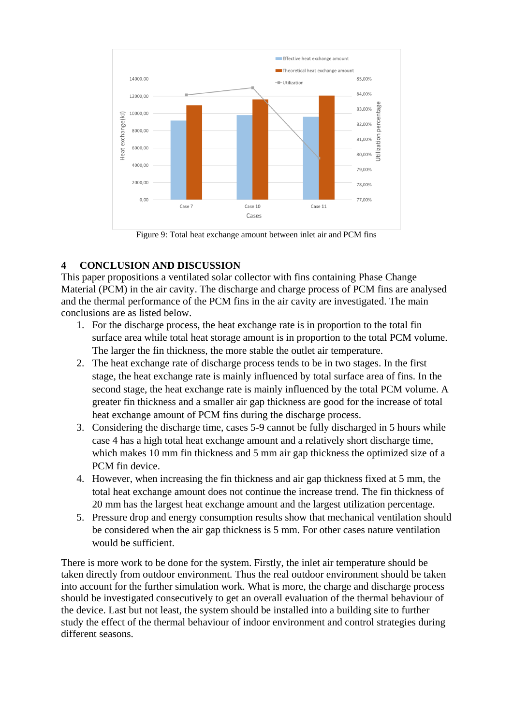

Figure 9: Total heat exchange amount between inlet air and PCM fins

## **4 CONCLUSION AND DISCUSSION**

This paper propositions a ventilated solar collector with fins containing Phase Change Material (PCM) in the air cavity. The discharge and charge process of PCM fins are analysed and the thermal performance of the PCM fins in the air cavity are investigated. The main conclusions are as listed below.

- 1. For the discharge process, the heat exchange rate is in proportion to the total fin surface area while total heat storage amount is in proportion to the total PCM volume. The larger the fin thickness, the more stable the outlet air temperature.
- 2. The heat exchange rate of discharge process tends to be in two stages. In the first stage, the heat exchange rate is mainly influenced by total surface area of fins. In the second stage, the heat exchange rate is mainly influenced by the total PCM volume. A greater fin thickness and a smaller air gap thickness are good for the increase of total heat exchange amount of PCM fins during the discharge process.
- 3. Considering the discharge time, cases 5-9 cannot be fully discharged in 5 hours while case 4 has a high total heat exchange amount and a relatively short discharge time, which makes 10 mm fin thickness and 5 mm air gap thickness the optimized size of a PCM fin device.
- 4. However, when increasing the fin thickness and air gap thickness fixed at 5 mm, the total heat exchange amount does not continue the increase trend. The fin thickness of 20 mm has the largest heat exchange amount and the largest utilization percentage.
- 5. Pressure drop and energy consumption results show that mechanical ventilation should be considered when the air gap thickness is 5 mm. For other cases nature ventilation would be sufficient.

There is more work to be done for the system. Firstly, the inlet air temperature should be taken directly from outdoor environment. Thus the real outdoor environment should be taken into account for the further simulation work. What is more, the charge and discharge process should be investigated consecutively to get an overall evaluation of the thermal behaviour of the device. Last but not least, the system should be installed into a building site to further study the effect of the thermal behaviour of indoor environment and control strategies during different seasons.